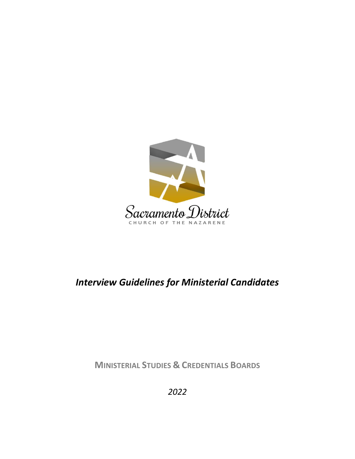

# *Interview Guidelines for Ministerial Candidates*

**MINISTERIAL STUDIES & CREDENTIALS BOARDS**

*2022*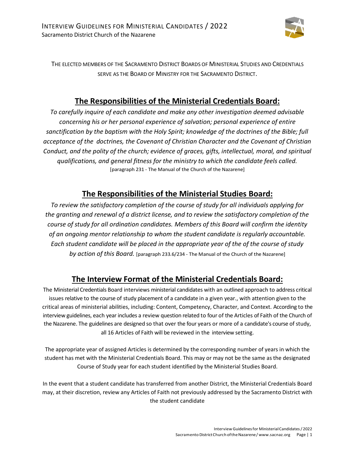

THE ELECTED MEMBERS OF THE SACRAMENTO DISTRICT BOARDS OF MINISTERIAL STUDIES AND CREDENTIALS SERVE AS THE BOARD OF MINISTRY FOR THE SACRAMENTO DISTRICT.

### **The Responsibilities of the Ministerial Credentials Board:**

*To carefully inquire of each candidate and make any other investigation deemed advisable concerning his or her personal experience of salvation; personal experience of entire sanctification by the baptism with the Holy Spirit; knowledge of the doctrines of the Bible; full acceptance of the doctrines, the Covenant of Christian Character and the Covenant of Christian Conduct, and the polity of the church; evidence of graces, gifts, intellectual, moral, and spiritual qualifications, and general fitness for the ministry to which the candidate feels called.* [paragraph 231 - The Manual of the Church of the Nazarene]

### **The Responsibilities of the Ministerial Studies Board:**

*To review the satisfactory completion of the course of study for all individuals applying for the granting and renewal of a district license, and to review the satisfactory completion of the course of study for all ordination candidates. Members of this Board will confirm the identity of an ongoing mentor relationship to whom the student candidate is regularly accountable. Each student candidate will be placed in the appropriate year of the of the course of study by action of this Board.* [paragraph 233.6/234 - The Manual of the Church of the Nazarene]

### **The Interview Format of the Ministerial Credentials Board:**

The Ministerial Credentials Board interviews ministerial candidates with an outlined approach to address critical issues relative to the course of study placement of a candidate in a given year., with attention given to the critical areas of ministerial abilities, including: Content, Competency, Character, and Context. According to the interview guidelines, each year includes a review question related to four of the Articles of Faith of the Church of the Nazarene. The guidelines are designed so that over the four years or more of a candidate's course of study, all 16 Articles of Faith will be reviewed in the interview setting.

The appropriate year of assigned Articles is determined by the corresponding number of years in which the student has met with the Ministerial Credentials Board. This may or may not be the same as the designated Course of Study year for each student identified by the Ministerial Studies Board.

In the event that a student candidate has transferred from another District, the Ministerial Credentials Board may, at their discretion, review any Articles of Faith not previously addressed by the Sacramento District with the student candidate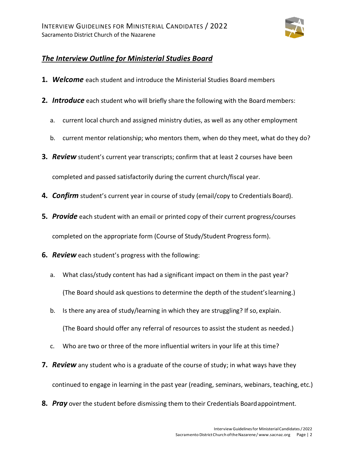

#### *The Interview Outline for Ministerial Studies Board*

- **1.** *Welcome* each student and introduce the Ministerial Studies Board members
- **2.** *Introduce* each student who will briefly share the following with the Board members:
	- a. current local church and assigned ministry duties, as well as any other employment
	- b. current mentor relationship; who mentors them, when do they meet, what do they do?
- **3.** *Review* student's current year transcripts; confirm that at least 2 courses have been

completed and passed satisfactorily during the current church/fiscal year.

- **4.** *Confirm* student's current year in course of study (email/copy to Credentials Board).
- **5.** *Provide* each student with an email or printed copy of their current progress/courses completed on the appropriate form (Course of Study/Student Progress form).
- **6.** *Review* each student's progress with the following:
	- a. What class/study content has had a significant impact on them in the past year? (The Board should ask questions to determine the depth of the student'slearning.)
	- b. Is there any area of study/learning in which they are struggling? If so, explain. (The Board should offer any referral of resources to assist the student as needed.)
	- c. Who are two or three of the more influential writers in your life at this time?
- **7.** *Review* any student who is a graduate of the course of study; in what ways have they continued to engage in learning in the past year (reading, seminars, webinars, teaching, etc.)
- **8.** *Pray* over the student before dismissing them to their Credentials Boardappointment.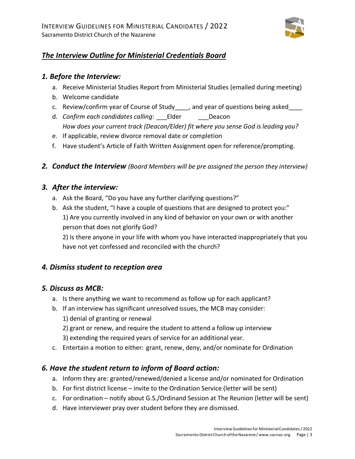

### *The Interview Outline for Ministerial Credentials Board*

#### *1. Before the Interview:*

- a. Receive Ministerial Studies Report from Ministerial Studies (emailed during meeting)
- b. Welcome candidate
- c. Review/confirm year of Course of Study\_\_\_\_, and year of questions being asked\_\_\_\_
- d. *Confirm each candidates calling*: Elder Deacon *How does your current track (Deacon/Elder) fit where you sense God is leading you?*
- e. If applicable, review divorce removal date or completion
- f. Have student's Article of Faith Written Assignment open for reference/prompting.
- *2. Conduct the Interview (Board Members will be pre assigned the person they interview)*

#### *3. After the interview:*

- a. Ask the Board, "Do you have any further clarifying questions?"
- b. Ask the student, "I have a couple of questions that are designed to protect you:" 1) Are you currently involved in any kind of behavior on your own or with another person that does not glorify God?

2) Is there anyone in your life with whom you have interacted inappropriately that you have not yet confessed and reconciled with the church?

#### *4. Dismiss student to reception area*

#### *5. Discuss as MCB:*

- a. Is there anything we want to recommend as follow up for each applicant?
- b. If an interview has significant unresolved issues, the MCB may consider:
	- 1) denial of granting or renewal
	- 2) grant or renew, and require the student to attend a follow up interview
	- 3) extending the required years of service for an additional year.
- c. Entertain a motion to either: grant, renew, deny, and/or nominate for Ordination

#### *6. Have the student return to inform of Board action:*

- a. Inform they are: granted/renewed/denied a license and/or nominated for Ordination
- b. For first district license invite to the Ordination Service (letter will be sent)
- c. For ordination notify about G.S./Ordinand Session at The Reunion (letter will be sent)
- d. Have interviewer pray over student before they are dismissed.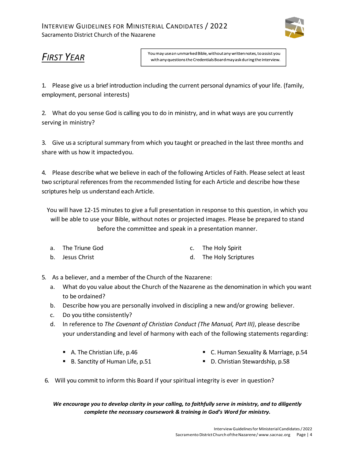

## *FIRST YEAR*

You may use an unmarked Bible, without any written notes, to assist you with any questions the Credentials Board may ask during the interview.

1. Please give us a brief introduction including the current personal dynamics of your life. (family, employment, personal interests)

2. What do you sense God is calling you to do in ministry, and in what ways are you currently serving in ministry?

3. Give us a scriptural summary from which you taught or preached in the last three months and share with us how it impactedyou.

4. Please describe what we believe in each of the following Articles of Faith. Please select at least two scriptural references from the recommended listing for each Article and describe how these scriptures help us understand each Article.

You will have 12-15 minutes to give a full presentation in response to this question, in which you will be able to use your Bible, without notes or projected images. Please be prepared to stand before the committee and speak in a presentation manner.

| a. The Triune God | c. The Holy Spirit |
|-------------------|--------------------|
|                   |                    |

- b. Jesus Christ d. The Holy Scriptures
- 5. As a believer, and a member of the Church of the Nazarene:
	- a. What do you value about the Church of the Nazarene as the denomination in which you want to be ordained?
	- b. Describe how you are personally involved in discipling a new and/or growing believer.
	- c. Do you tithe consistently?
	- d. In reference to *The Covenant of Christian Conduct (The Manual, Part III)*, please describe your understanding and level of harmony with each of the following statements regarding:
		- A. The Christian Life, p.46

■ C. Human Sexuality & Marriage, p.54

■ B. Sanctity of Human Life, p.51

- D. Christian Stewardship, p.58
- 6. Will you commit to inform this Board if your spiritual integrity is ever in question?

*We encourage you to develop clarity in your calling, to faithfully serve in ministry, and to diligently complete the necessary coursework & training in God's Word for ministry.*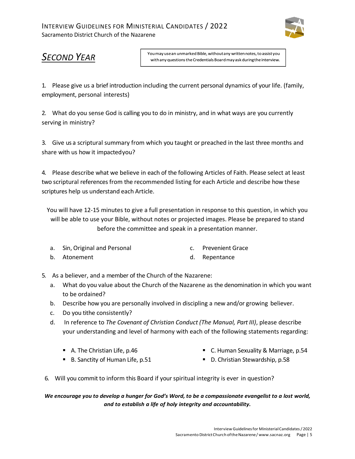

## *SECOND YEAR*

You may use an unmarked Bible, without any written notes, to assist you with any questions the Credentials Board may ask during the interview.

1. Please give us a brief introduction including the current personal dynamics of your life. (family, employment, personal interests)

2. What do you sense God is calling you to do in ministry, and in what ways are you currently serving in ministry?

3. Give us a scriptural summary from which you taught or preached in the last three months and share with us how it impactedyou?

4. Please describe what we believe in each of the following Articles of Faith. Please select at least two scriptural references from the recommended listing for each Article and describe how these scriptures help us understand each Article.

You will have 12-15 minutes to give a full presentation in response to this question, in which you will be able to use your Bible, without notes or projected images. Please be prepared to stand before the committee and speak in a presentation manner.

- a. Sin, Original and Personal c. Prevenient Grace
- b. Atonement d. Repentance
- 5. As a believer, and a member of the Church of the Nazarene:
	- a. What do you value about the Church of the Nazarene as the denomination in which you want to be ordained?
	- b. Describe how you are personally involved in discipling a new and/or growing believer.
	- c. Do you tithe consistently?
	- d. In reference to *The Covenant of Christian Conduct (The Manual, Part III)*, please describe your understanding and level of harmony with each of the following statements regarding:
		- A. The Christian Life, p.46

■ C. Human Sexuality & Marriage, p.54

■ B. Sanctity of Human Life, p.51

- D. Christian Stewardship, p.58
- 6. Will you commit to inform this Board if your spiritual integrity is ever in question?

#### *We encourage you to develop a hunger for God's Word, to be a compassionate evangelist to a lost world, and to establish a life of holy integrity and accountability.*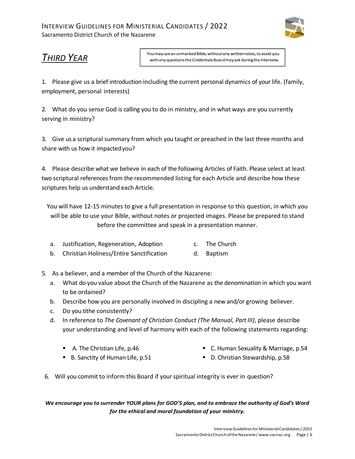

# *THIRD YEAR*

You may use an unmarked Bible, without any written notes, to assist you with any questions the Credentials Board may ask during the interview.

1. Please give us a brief introduction including the current personal dynamics of your life. (family, employment, personal interests)

2. What do you sense God is calling you to do in ministry, and in what ways are you currently serving in ministry?

3. Give us a scriptural summary from which you taught or preached in the last three months and share with us how it impactedyou?

4. Please describe what we believe in each of the following Articles of Faith. Please select at least two scriptural references from the recommended listing for each Article and describe how these scriptures help us understand each Article.

You will have 12-15 minutes to give a full presentation in response to this question, in which you will be able to use your Bible, without notes or projected images. Please be prepared to stand before the committee and speak in a presentation manner.

- a. Justification, Regeneration, Adoption c. The Church
- b. Christian Holiness/Entire Sanctification d. Baptism
- 5. As a believer, and a member of the Church of the Nazarene:
	- a. What do you value about the Church of the Nazarene as the denomination in which you want to be ordained?
	- b. Describe how you are personally involved in discipling a new and/or growing believer.
	- c. Do you tithe consistently?
	- d. In reference to *The Covenant of Christian Conduct (The Manual, Part III)*, please describe your understanding and level of harmony with each of the following statements regarding:
		- A. The Christian Life, p.46

■ C. Human Sexuality & Marriage, p.54

■ B. Sanctity of Human Life, p.51

- D. Christian Stewardship, p.58
- 6. Will you commit to inform this Board if your spiritual integrity is ever in question?

*We encourage you to surrender YOUR plans for GOD'S plan, and to embrace the authority of God's Word for the ethical and moral foundation of your ministry.*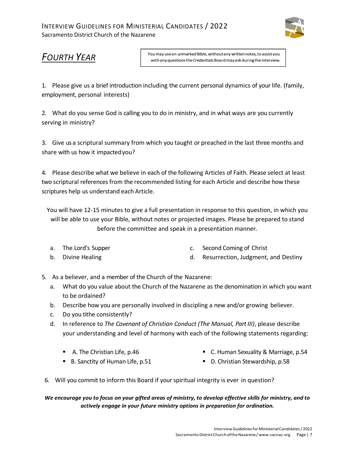

## *FOURTH YEAR*

You may use an unmarked Bible, without any written notes, to assist you with any questions the Credentials Board may ask during the interview.

1. Please give us a brief introduction including the current personal dynamics of your life. (family, employment, personal interests)

2. What do you sense God is calling you to do in ministry, and in what ways are you currently serving in ministry?

3. Give us a scriptural summary from which you taught or preached in the last three months and share with us how it impactedyou?

4. Please describe what we believe in each of the following Articles of Faith. Please select at least two scriptural references from the recommended listing for each Article and describe how these scriptures help us understand each Article.

You will have 12-15 minutes to give a full presentation in response to this question, in which you will be able to use your Bible, without notes or projected images. Please be prepared to stand before the committee and speak in a presentation manner.

- a. The Lord's Supper c. Second Coming of Christ
- b. Divine Healing d. Resurrection, Judgment, and Destiny
- 5. As a believer, and a member of the Church of the Nazarene:
	- a. What do you value about the Church of the Nazarene as the denomination in which you want to be ordained?
	- b. Describe how you are personally involved in discipling a new and/or growing believer.
	- c. Do you tithe consistently?
	- d. In reference to *The Covenant of Christian Conduct (The Manual, Part III)*, please describe your understanding and level of harmony with each of the following statements regarding:
		- A. The Christian Life, p.46

■ C. Human Sexuality & Marriage, p.54

■ B. Sanctity of Human Life, p.51

- D. Christian Stewardship, p.58
- 6. Will you commit to inform this Board if your spiritual integrity is ever in question?

*We encourage you to focus on your gifted areas of ministry, to develop effective skills for ministry, and to actively engage in your future ministry options in preparation for ordination.*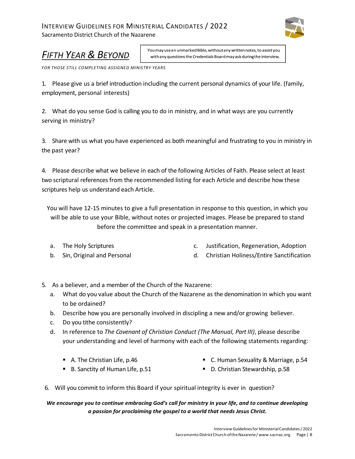#### INTERVIEW GUIDELINES FOR MINISTERIAL CANDIDATES / 2022 Sacramento District Church of the Nazarene



# *FIFTH YEAR & BEYOND*

You may use an unmarked Bible, without any written notes, to assist you with any questions the Credentials Board may ask during the interview.

*FOR THOSE STILL COMPLETING ASSIGNED MINISTRY YEARS*

1. Please give us a brief introduction including the current personal dynamics of your life. (family, employment, personal interests)

2. What do you sense God is calling you to do in ministry, and in what ways are you currently serving in ministry?

3. Share with us what you have experienced as both meaningful and frustrating to you in ministry in the past year?

4. Please describe what we believe in each of the following Articles of Faith. Please select at least two scriptural references from the recommended listing for each Article and describe how these scriptures help us understand each Article.

You will have 12-15 minutes to give a full presentation in response to this question, in which you will be able to use your Bible, without notes or projected images. Please be prepared to stand before the committee and speak in a presentation manner.

- a. The Holy Scriptures
- b. Sin, Original and Personal
- c. Justification, Regeneration, Adoption
- d. Christian Holiness/Entire Sanctification
- 5. As a believer, and a member of the Church of the Nazarene:
	- a. What do you value about the Church of the Nazarene as the denomination in which you want to be ordained?
	- b. Describe how you are personally involved in discipling a new and/or growing believer.
	- c. Do you tithe consistently?
	- d. In reference to *The Covenant of Christian Conduct (The Manual, Part III)*, please describe your understanding and level of harmony with each of the following statements regarding:
		- A. The Christian Life, p.46

■ C. Human Sexuality & Marriage, p.54

■ B. Sanctity of Human Life, p.51

- D. Christian Stewardship, p.58
- 6. Will you commit to inform this Board if your spiritual integrity is ever in question?

*We encourage you to continue embracing God's call for ministry in your life, and to continue developing a passion for proclaiming the gospel to a world that needs Jesus Christ.*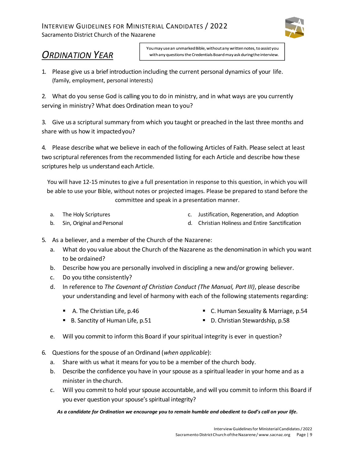#### INTERVIEW GUIDELINES FOR MINISTERIAL CANDIDATES / 2022 Sacramento District Church of the Nazarene



# *ORDINATION YEAR*

You may use an unmarked Bible, without any written notes, to assist you with any questions the Credentials Board may ask during the interview.

1. Please give us a brief introduction including the current personal dynamics of your life. (family, employment, personal interests)

2. What do you sense God is calling you to do in ministry, and in what ways are you currently serving in ministry? What does Ordination mean to you?

3. Give us a scriptural summary from which you taught or preached in the last three months and share with us how it impactedyou?

4. Please describe what we believe in each of the following Articles of Faith. Please select at least two scriptural references from the recommended listing for each Article and describe how these scriptures help us understand each Article.

You will have 12-15 minutes to give a full presentation in response to this question, in which you will be able to use your Bible, without notes or projected images. Please be prepared to stand before the committee and speak in a presentation manner.

a. The Holy Scriptures

c. Justification, Regeneration, and Adoption

b. Sin, Original and Personal

- d. Christian Holiness and Entire Sanctification
- 5. As a believer, and a member of the Church of the Nazarene:
	- a. What do you value about the Church of the Nazarene as the denomination in which you want to be ordained?
	- b. Describe how you are personally involved in discipling a new and/or growing believer.
	- c. Do you tithe consistently?
	- d. In reference to *The Covenant of Christian Conduct (The Manual, Part III)*, please describe your understanding and level of harmony with each of the following statements regarding:
		- A. The Christian Life, p.46
- C. Human Sexuality & Marriage, p.54
- B. Sanctity of Human Life, p.51
- D. Christian Stewardship, p.58
- e. Will you commit to inform this Board if your spiritual integrity is ever in question?
- 6. Questions for the spouse of an Ordinand (*when applicable*):
	- a. Share with us what it means for you to be a member of the church body.
	- b. Describe the confidence you have in your spouse as a spiritual leader in your home and as a minister in the church.
	- c. Will you commit to hold your spouse accountable, and will you commit to inform this Board if you ever question your spouse's spiritual integrity?

*As a candidate for Ordination we encourage you to remain humble and obedient to God's call on your life.*